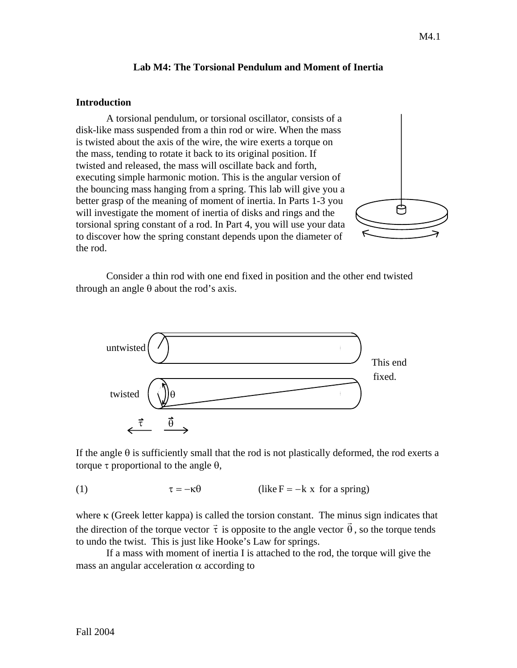## **Lab M4: The Torsional Pendulum and Moment of Inertia**

### **Introduction**

A torsional pendulum, or torsional oscillator, consists of a disk-like mass suspended from a thin rod or wire. When the mass is twisted about the axis of the wire, the wire exerts a torque on the mass, tending to rotate it back to its original position. If twisted and released, the mass will oscillate back and forth, executing simple harmonic motion. This is the angular version of the bouncing mass hanging from a spring. This lab will give you a better grasp of the meaning of moment of inertia. In Parts 1-3 you will investigate the moment of inertia of disks and rings and the torsional spring constant of a rod. In Part 4, you will use your data to discover how the spring constant depends upon the diameter of the rod.

Consider a thin rod with one end fixed in position and the other end twisted through an angle  $\theta$  about the rod's axis.



If the angle  $\theta$  is sufficiently small that the rod is not plastically deformed, the rod exerts a torque τ proportional to the angle  $θ$ ,

## (1)  $\tau = -\kappa \theta$  (like F = -k x for a spring)

where  $\kappa$  (Greek letter kappa) is called the torsion constant. The minus sign indicates that where **K** (Greek letter Kappa) is called the torsion constant. The filmus sign mulcates that the direction of the torque vector  $\vec{\tau}$  is opposite to the angle vector  $\vec{\theta}$ , so the torque tends to undo the twist. This is just like Hooke's Law for springs.

If a mass with moment of inertia I is attached to the rod, the torque will give the mass an angular acceleration  $\alpha$  according to

户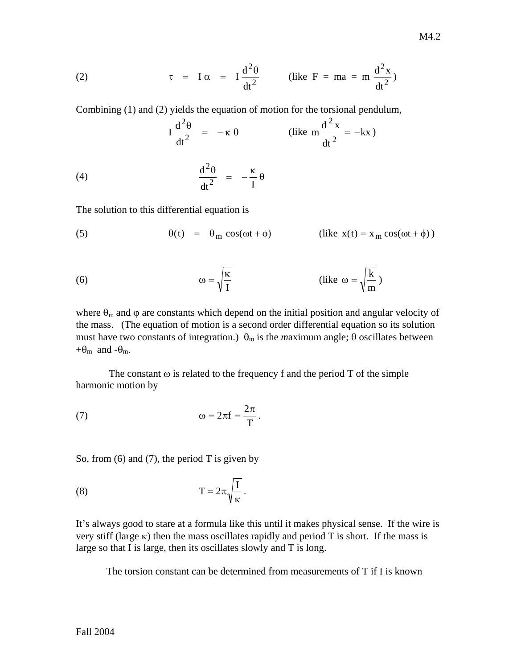(2) 
$$
\tau = I \alpha = I \frac{d^2 \theta}{dt^2}
$$
 (like F = ma = m  $\frac{d^2 x}{dt^2}$ )

Combining (1) and (2) yields the equation of motion for the torsional pendulum,

$$
I \frac{d^2 \theta}{dt^2} = -\kappa \theta
$$
 (like  $m \frac{d^2 x}{dt^2} = -kx$ )

(4) 
$$
\frac{d^2\theta}{dt^2} = -\frac{\kappa}{I} \theta
$$

The solution to this differential equation is

(5) 
$$
\theta(t) = \theta_m \cos(\omega t + \phi) \qquad \text{(like } x(t) = x_m \cos(\omega t + \phi))
$$

(6) 
$$
\omega = \sqrt{\frac{\kappa}{I}}
$$
 (like  $\omega = \sqrt{\frac{k}{m}}$ )

where  $\theta_m$  and  $\varphi$  are constants which depend on the initial position and angular velocity of the mass. (The equation of motion is a second order differential equation so its solution must have two constants of integration.)  $\theta_m$  is the *maximum* angle;  $\theta$  oscillates between + $\theta_m$  and - $\theta_m$ .

The constant  $\omega$  is related to the frequency f and the period T of the simple harmonic motion by

(7) 
$$
\omega = 2\pi f = \frac{2\pi}{T}.
$$

So, from  $(6)$  and  $(7)$ , the period T is given by

(8) 
$$
T = 2\pi \sqrt{\frac{I}{\kappa}}.
$$

It's always good to stare at a formula like this until it makes physical sense. If the wire is very stiff (large κ) then the mass oscillates rapidly and period T is short. If the mass is large so that I is large, then its oscillates slowly and T is long.

The torsion constant can be determined from measurements of T if I is known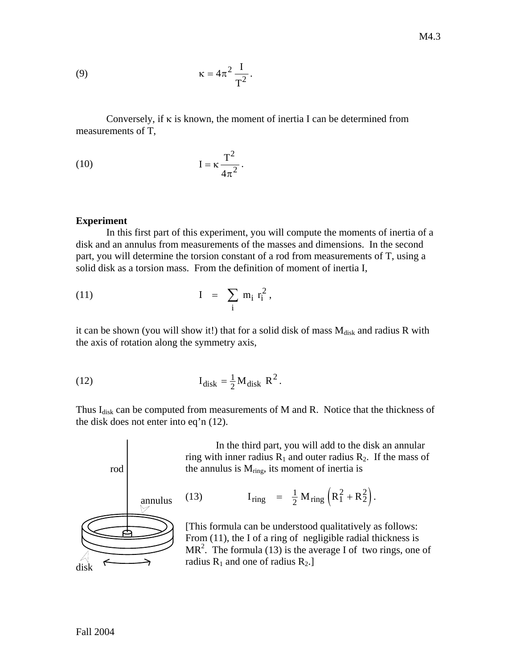(9) 
$$
\kappa = 4\pi^2 \frac{I}{T^2}.
$$

 Conversely, if κ is known, the moment of inertia I can be determined from measurements of T,

(10) 
$$
I = \kappa \frac{T^2}{4\pi^2}.
$$

#### **Experiment**

In this first part of this experiment, you will compute the moments of inertia of a disk and an annulus from measurements of the masses and dimensions. In the second part, you will determine the torsion constant of a rod from measurements of T, using a solid disk as a torsion mass. From the definition of moment of inertia I,

$$
(11) \t\t\t I = \sum_{i} m_i r_i^2,
$$

it can be shown (you will show it!) that for a solid disk of mass  $M_{disk}$  and radius R with the axis of rotation along the symmetry axis,

(12) 
$$
I_{disk} = \frac{1}{2} M_{disk} R^2.
$$

Thus  $I_{disk}$  can be computed from measurements of M and R. Notice that the thickness of the disk does not enter into eq'n (12).



In the third part, you will add to the disk an annular ring with inner radius  $R_1$  and outer radius  $R_2$ . If the mass of the annulus is  $M_{ring}$ , its moment of inertia is

(13) 
$$
I_{ring} = \frac{1}{2} M_{ring} (R_1^2 + R_2^2).
$$

[This formula can be understood qualitatively as follows: From (11), the I of a ring of negligible radial thickness is  $MR<sup>2</sup>$ . The formula (13) is the average I of two rings, one of radius  $R_1$  and one of radius  $R_2$ .]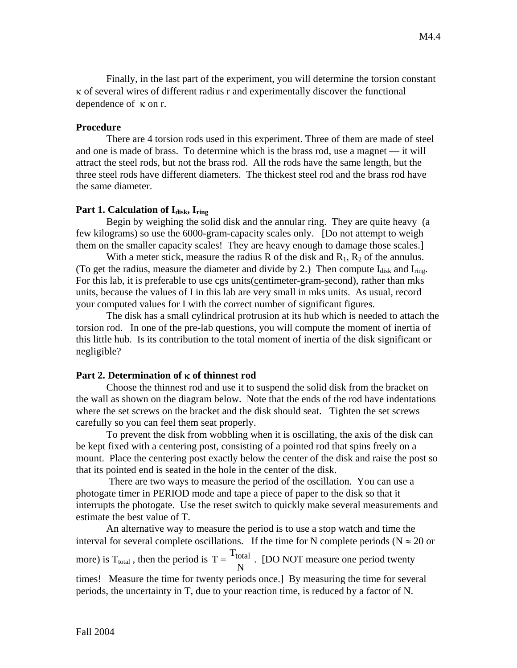Finally, in the last part of the experiment, you will determine the torsion constant κ of several wires of different radius r and experimentally discover the functional dependence of κ on r.

### **Procedure**

There are 4 torsion rods used in this experiment. Three of them are made of steel and one is made of brass. To determine which is the brass rod, use a magnet — it will attract the steel rods, but not the brass rod. All the rods have the same length, but the three steel rods have different diameters. The thickest steel rod and the brass rod have the same diameter.

## Part 1. Calculation of I<sub>disk</sub>, I<sub>ring</sub>

Begin by weighing the solid disk and the annular ring. They are quite heavy (a few kilograms) so use the 6000-gram-capacity scales only. [Do not attempt to weigh them on the smaller capacity scales! They are heavy enough to damage those scales.]

With a meter stick, measure the radius R of the disk and  $R_1$ ,  $R_2$  of the annulus. (To get the radius, measure the diameter and divide by 2.) Then compute  $I_{disk}$  and  $I_{ring}$ . For this lab, it is preferable to use cgs units(centimeter-gram-second), rather than mks units, because the values of I in this lab are very small in mks units. As usual, record your computed values for I with the correct number of significant figures.

The disk has a small cylindrical protrusion at its hub which is needed to attach the torsion rod. In one of the pre-lab questions, you will compute the moment of inertia of this little hub. Is its contribution to the total moment of inertia of the disk significant or negligible?

### **Part 2. Determination of** κ **of thinnest rod**

Choose the thinnest rod and use it to suspend the solid disk from the bracket on the wall as shown on the diagram below. Note that the ends of the rod have indentations where the set screws on the bracket and the disk should seat. Tighten the set screws carefully so you can feel them seat properly.

To prevent the disk from wobbling when it is oscillating, the axis of the disk can be kept fixed with a centering post, consisting of a pointed rod that spins freely on a mount. Place the centering post exactly below the center of the disk and raise the post so that its pointed end is seated in the hole in the center of the disk.

 There are two ways to measure the period of the oscillation. You can use a photogate timer in PERIOD mode and tape a piece of paper to the disk so that it interrupts the photogate. Use the reset switch to quickly make several measurements and estimate the best value of T.

An alternative way to measure the period is to use a stop watch and time the interval for several complete oscillations. If the time for N complete periods ( $N \approx 20$  or more) is T<sub>total</sub>, then the period is  $T = \frac{T}{T}$ N  $=\frac{1_{\text{total}}}{v}$ . [DO NOT measure one period twenty times! Measure the time for twenty periods once.] By measuring the time for several periods, the uncertainty in T, due to your reaction time, is reduced by a factor of N.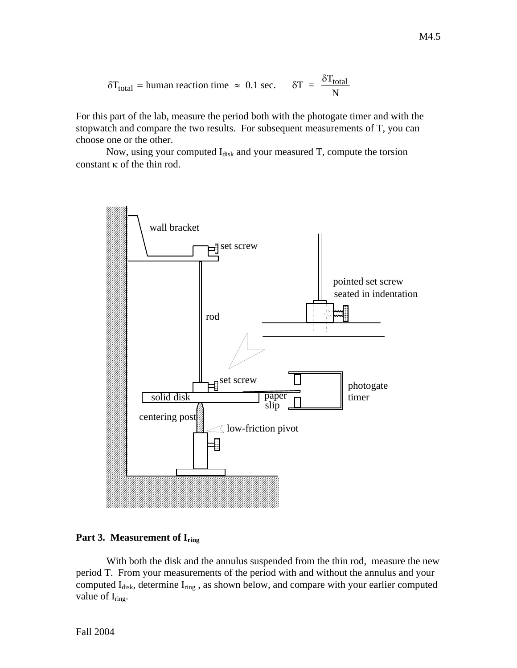$$
\delta T_{\text{total}} = \text{human reaction time} \approx 0.1 \text{ sec.} \qquad \delta T = \frac{\delta T_{\text{total}}}{N}
$$

For this part of the lab, measure the period both with the photogate timer and with the stopwatch and compare the two results. For subsequent measurements of T, you can choose one or the other.

Now, using your computed  $I_{disk}$  and your measured T, compute the torsion constant κ of the thin rod.



### Part 3. Measurement of I<sub>ring</sub>

With both the disk and the annulus suspended from the thin rod, measure the new period T. From your measurements of the period with and without the annulus and your computed I<sub>disk</sub>, determine I<sub>ring</sub>, as shown below, and compare with your earlier computed value of  $I_{ring}$ .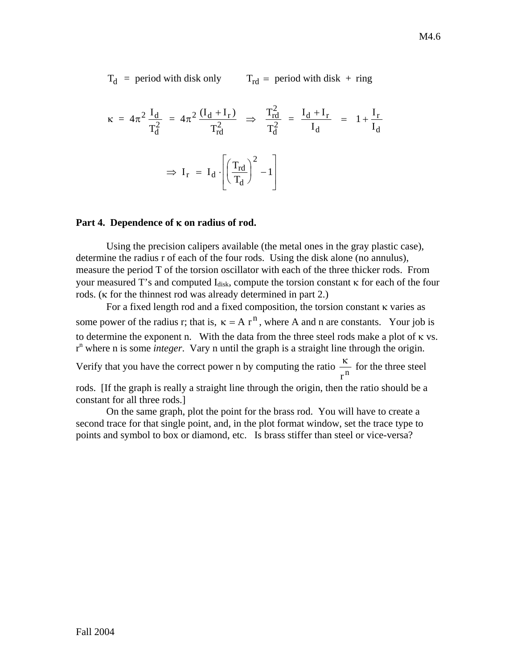T d = period with disk only  $T_{rd}$  = period with disk + ring

$$
\kappa = 4\pi^2 \frac{I_d}{T_d^2} = 4\pi^2 \frac{(I_d + I_r)}{T_{rd}^2} \Rightarrow \frac{T_{rd}^2}{T_d^2} = \frac{I_d + I_r}{I_d} = 1 + \frac{I_r}{I_d}
$$

$$
\Rightarrow I_r = I_d \cdot \left[ \left(\frac{T_{rd}}{T_d}\right)^2 - 1 \right]
$$

#### **Part 4. Dependence of** κ **on radius of rod.**

Using the precision calipers available (the metal ones in the gray plastic case), determine the radius r of each of the four rods. Using the disk alone (no annulus), measure the period T of the torsion oscillator with each of the three thicker rods. From your measured T's and computed  $I_{disk}$ , compute the torsion constant  $\kappa$  for each of the four rods. (κ for the thinnest rod was already determined in part 2.)

For a fixed length rod and a fixed composition, the torsion constant κ varies as some power of the radius r; that is,  $\kappa = A r^n$ , where A and n are constants. Your job is to determine the exponent n. With the data from the three steel rods make a plot of  $\kappa$  vs. r n where n is some *integer*. Vary n until the graph is a straight line through the origin.

Verify that you have the correct power n by computing the ratio  $\frac{\kappa}{2}$  $\frac{\pi}{r}$  for the three steel

rods. [If the graph is really a straight line through the origin, then the ratio should be a constant for all three rods.]

On the same graph, plot the point for the brass rod. You will have to create a second trace for that single point, and, in the plot format window, set the trace type to points and symbol to box or diamond, etc. Is brass stiffer than steel or vice-versa?